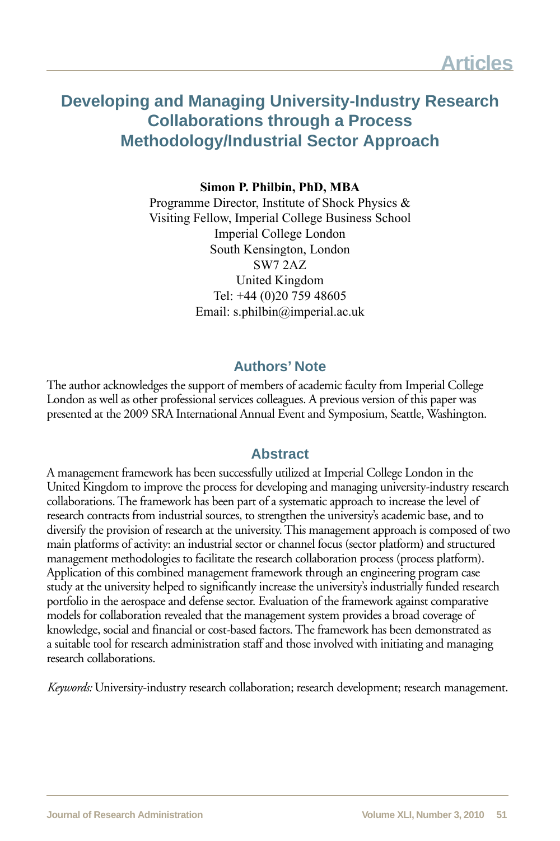### **Developing and Managing University-Industry Research Collaborations through a Process Methodology/Industrial Sector Approach**

**Simon P. Philbin, PhD, MBA**

Programme Director, Institute of Shock Physics & Visiting Fellow, Imperial College Business School Imperial College London South Kensington, London SW7 2AZ United Kingdom Tel: +44 (0)20 759 48605 Email: s.philbin@imperial.ac.uk

### **Authors' Note**

The author acknowledges the support of members of academic faculty from Imperial College London as well as other professional services colleagues. A previous version of this paper was presented at the 2009 SRA International Annual Event and Symposium, Seattle, Washington.

### **Abstract**

A management framework has been successfully utilized at Imperial College London in the United Kingdom to improve the process for developing and managing university-industry research collaborations. The framework has been part of a systematic approach to increase the level of research contracts from industrial sources, to strengthen the university's academic base, and to diversify the provision of research at the university. This management approach is composed of two main platforms of activity: an industrial sector or channel focus (sector platform) and structured management methodologies to facilitate the research collaboration process (process platform). Application of this combined management framework through an engineering program case study at the university helped to significantly increase the university's industrially funded research portfolio in the aerospace and defense sector. Evaluation of the framework against comparative models for collaboration revealed that the management system provides a broad coverage of knowledge, social and financial or cost-based factors. The framework has been demonstrated as a suitable tool for research administration staff and those involved with initiating and managing research collaborations.

*Keywords:* University-industry research collaboration; research development; research management.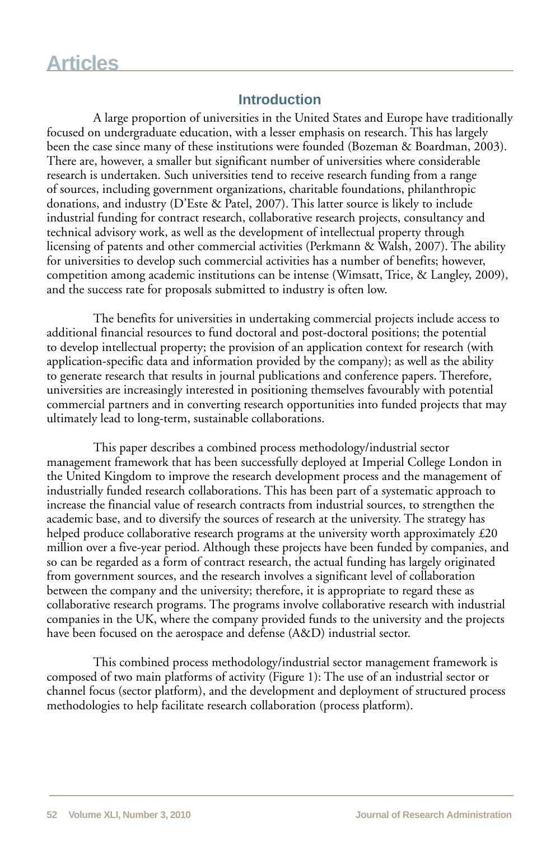### **Introduction**

A large proportion of universities in the United States and Europe have traditionally focused on undergraduate education, with a lesser emphasis on research. This has largely been the case since many of these institutions were founded (Bozeman & Boardman, 2003). There are, however, a smaller but significant number of universities where considerable research is undertaken. Such universities tend to receive research funding from a range of sources, including government organizations, charitable foundations, philanthropic donations, and industry (D'Este & Patel, 2007). This latter source is likely to include industrial funding for contract research, collaborative research projects, consultancy and technical advisory work, as well as the development of intellectual property through licensing of patents and other commercial activities (Perkmann & Walsh, 2007). The ability for universities to develop such commercial activities has a number of benefits; however, competition among academic institutions can be intense (Wimsatt, Trice, & Langley, 2009), and the success rate for proposals submitted to industry is often low.

The benefits for universities in undertaking commercial projects include access to additional financial resources to fund doctoral and post-doctoral positions; the potential to develop intellectual property; the provision of an application context for research (with application-specific data and information provided by the company); as well as the ability to generate research that results in journal publications and conference papers. Therefore, universities are increasingly interested in positioning themselves favourably with potential commercial partners and in converting research opportunities into funded projects that may ultimately lead to long-term, sustainable collaborations.

This paper describes a combined process methodology/industrial sector management framework that has been successfully deployed at Imperial College London in the United Kingdom to improve the research development process and the management of industrially funded research collaborations. This has been part of a systematic approach to increase the financial value of research contracts from industrial sources, to strengthen the academic base, and to diversify the sources of research at the university. The strategy has helped produce collaborative research programs at the university worth approximately £20 million over a five-year period. Although these projects have been funded by companies, and so can be regarded as a form of contract research, the actual funding has largely originated from government sources, and the research involves a significant level of collaboration between the company and the university; therefore, it is appropriate to regard these as collaborative research programs. The programs involve collaborative research with industrial companies in the UK, where the company provided funds to the university and the projects have been focused on the aerospace and defense (A&D) industrial sector.

This combined process methodology/industrial sector management framework is composed of two main platforms of activity (Figure 1): The use of an industrial sector or channel focus (sector platform), and the development and deployment of structured process methodologies to help facilitate research collaboration (process platform).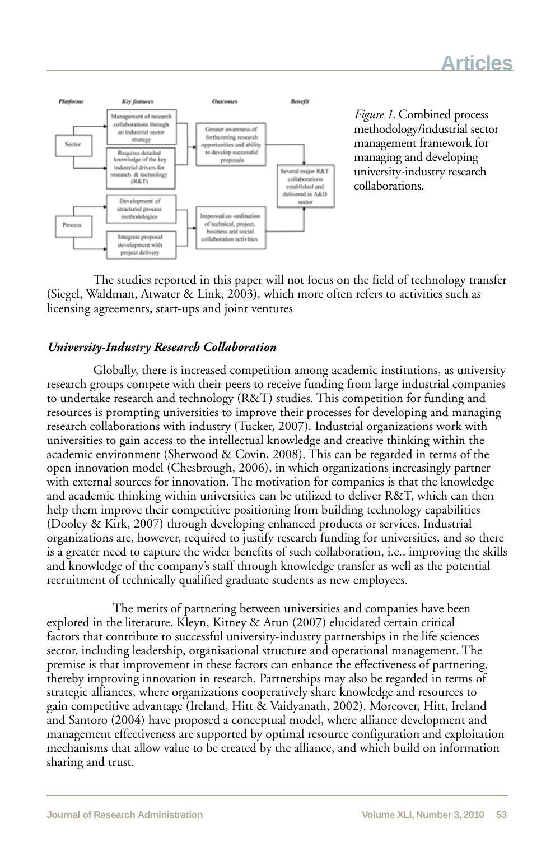

*Figure 1.* Combined process methodology/industrial sector management framework for managing and developing university-industry research collaborations.

The studies reported in this paper will not focus on the field of technology transfer (Siegel, Waldman, Atwater & Link, 2003), which more often refers to activities such as licensing agreements, start-ups and joint ventures

#### *University-Industry Research Collaboration*

Globally, there is increased competition among academic institutions, as university research groups compete with their peers to receive funding from large industrial companies to undertake research and technology (R&T) studies. This competition for funding and resources is prompting universities to improve their processes for developing and managing research collaborations with industry (Tucker, 2007). Industrial organizations work with universities to gain access to the intellectual knowledge and creative thinking within the academic environment (Sherwood & Covin, 2008). This can be regarded in terms of the open innovation model (Chesbrough, 2006), in which organizations increasingly partner with external sources for innovation. The motivation for companies is that the knowledge and academic thinking within universities can be utilized to deliver R&T, which can then help them improve their competitive positioning from building technology capabilities (Dooley & Kirk, 2007) through developing enhanced products or services. Industrial organizations are, however, required to justify research funding for universities, and so there is a greater need to capture the wider benefits of such collaboration, i.e., improving the skills and knowledge of the company's staff through knowledge transfer as well as the potential recruitment of technically qualified graduate students as new employees.

The merits of partnering between universities and companies have been explored in the literature. Kleyn, Kitney & Atun (2007) elucidated certain critical factors that contribute to successful university-industry partnerships in the life sciences sector, including leadership, organisational structure and operational management. The premise is that improvement in these factors can enhance the effectiveness of partnering, thereby improving innovation in research. Partnerships may also be regarded in terms of strategic alliances, where organizations cooperatively share knowledge and resources to gain competitive advantage (Ireland, Hitt & Vaidyanath, 2002). Moreover, Hitt, Ireland and Santoro (2004) have proposed a conceptual model, where alliance development and management effectiveness are supported by optimal resource configuration and exploitation mechanisms that allow value to be created by the alliance, and which build on information sharing and trust.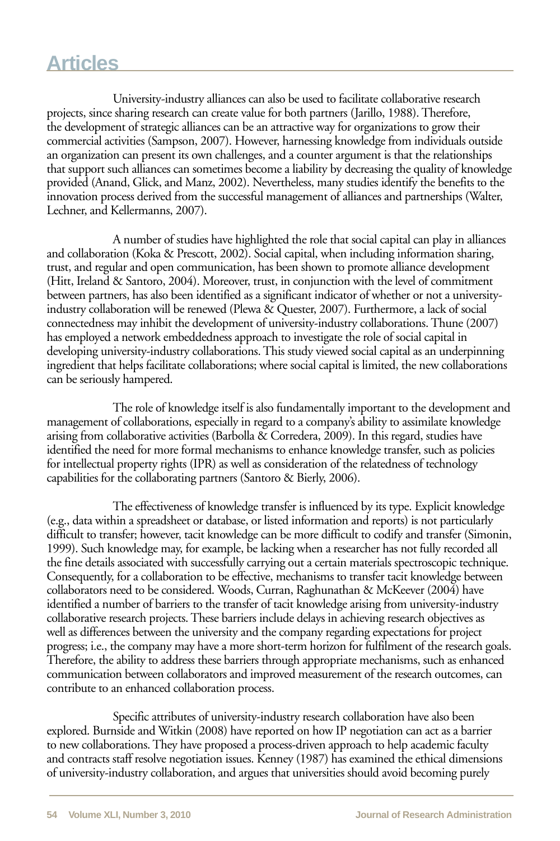University-industry alliances can also be used to facilitate collaborative research projects, since sharing research can create value for both partners (Jarillo, 1988). Therefore, the development of strategic alliances can be an attractive way for organizations to grow their commercial activities (Sampson, 2007). However, harnessing knowledge from individuals outside an organization can present its own challenges, and a counter argument is that the relationships that support such alliances can sometimes become a liability by decreasing the quality of knowledge provided (Anand, Glick, and Manz, 2002). Nevertheless, many studies identify the benefits to the innovation process derived from the successful management of alliances and partnerships (Walter, Lechner, and Kellermanns, 2007).

A number of studies have highlighted the role that social capital can play in alliances and collaboration (Koka & Prescott, 2002). Social capital, when including information sharing, trust, and regular and open communication, has been shown to promote alliance development (Hitt, Ireland & Santoro, 2004). Moreover, trust, in conjunction with the level of commitment between partners, has also been identified as a significant indicator of whether or not a universityindustry collaboration will be renewed (Plewa & Quester, 2007). Furthermore, a lack of social connectedness may inhibit the development of university-industry collaborations. Thune (2007) has employed a network embeddedness approach to investigate the role of social capital in developing university-industry collaborations. This study viewed social capital as an underpinning ingredient that helps facilitate collaborations; where social capital is limited, the new collaborations can be seriously hampered.

The role of knowledge itself is also fundamentally important to the development and management of collaborations, especially in regard to a company's ability to assimilate knowledge arising from collaborative activities (Barbolla & Corredera, 2009). In this regard, studies have identified the need for more formal mechanisms to enhance knowledge transfer, such as policies for intellectual property rights (IPR) as well as consideration of the relatedness of technology capabilities for the collaborating partners (Santoro & Bierly, 2006).

The effectiveness of knowledge transfer is influenced by its type. Explicit knowledge (e.g., data within a spreadsheet or database, or listed information and reports) is not particularly difficult to transfer; however, tacit knowledge can be more difficult to codify and transfer (Simonin, 1999). Such knowledge may, for example, be lacking when a researcher has not fully recorded all the fine details associated with successfully carrying out a certain materials spectroscopic technique. Consequently, for a collaboration to be effective, mechanisms to transfer tacit knowledge between collaborators need to be considered. Woods, Curran, Raghunathan & McKeever (2004) have identified a number of barriers to the transfer of tacit knowledge arising from university-industry collaborative research projects. These barriers include delays in achieving research objectives as well as differences between the university and the company regarding expectations for project progress; i.e., the company may have a more short-term horizon for fulfilment of the research goals. Therefore, the ability to address these barriers through appropriate mechanisms, such as enhanced communication between collaborators and improved measurement of the research outcomes, can contribute to an enhanced collaboration process.

Specific attributes of university-industry research collaboration have also been explored. Burnside and Witkin (2008) have reported on how IP negotiation can act as a barrier to new collaborations. They have proposed a process-driven approach to help academic faculty and contracts staff resolve negotiation issues. Kenney (1987) has examined the ethical dimensions of university-industry collaboration, and argues that universities should avoid becoming purely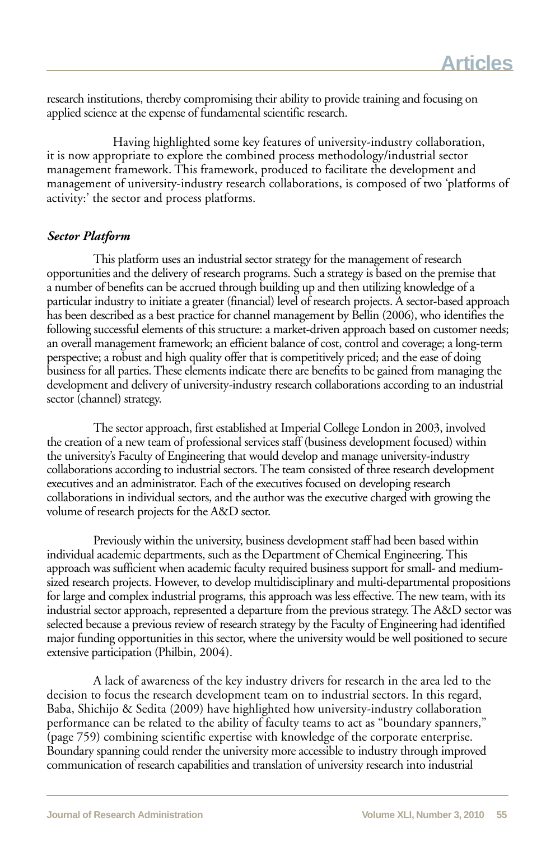research institutions, thereby compromising their ability to provide training and focusing on applied science at the expense of fundamental scientific research.

Having highlighted some key features of university-industry collaboration, it is now appropriate to explore the combined process methodology/industrial sector management framework. This framework, produced to facilitate the development and management of university-industry research collaborations, is composed of two 'platforms of activity:' the sector and process platforms.

#### *Sector Platform*

This platform uses an industrial sector strategy for the management of research opportunities and the delivery of research programs. Such a strategy is based on the premise that a number of benefits can be accrued through building up and then utilizing knowledge of a particular industry to initiate a greater (financial) level of research projects. A sector-based approach has been described as a best practice for channel management by Bellin (2006), who identifies the following successful elements of this structure: a market-driven approach based on customer needs; an overall management framework; an efficient balance of cost, control and coverage; a long-term perspective; a robust and high quality offer that is competitively priced; and the ease of doing business for all parties. These elements indicate there are benefits to be gained from managing the development and delivery of university-industry research collaborations according to an industrial sector (channel) strategy.

The sector approach, first established at Imperial College London in 2003, involved the creation of a new team of professional services staff (business development focused) within the university's Faculty of Engineering that would develop and manage university-industry collaborations according to industrial sectors. The team consisted of three research development executives and an administrator. Each of the executives focused on developing research collaborations in individual sectors, and the author was the executive charged with growing the volume of research projects for the A&D sector.

Previously within the university, business development staff had been based within individual academic departments, such as the Department of Chemical Engineering. This approach was sufficient when academic faculty required business support for small- and mediumsized research projects. However, to develop multidisciplinary and multi-departmental propositions for large and complex industrial programs, this approach was less effective. The new team, with its industrial sector approach, represented a departure from the previous strategy. The A&D sector was selected because a previous review of research strategy by the Faculty of Engineering had identified major funding opportunities in this sector, where the university would be well positioned to secure extensive participation (Philbin, 2004).

A lack of awareness of the key industry drivers for research in the area led to the decision to focus the research development team on to industrial sectors. In this regard, Baba, Shichijo & Sedita (2009) have highlighted how university-industry collaboration performance can be related to the ability of faculty teams to act as "boundary spanners," (page 759) combining scientific expertise with knowledge of the corporate enterprise. Boundary spanning could render the university more accessible to industry through improved communication of research capabilities and translation of university research into industrial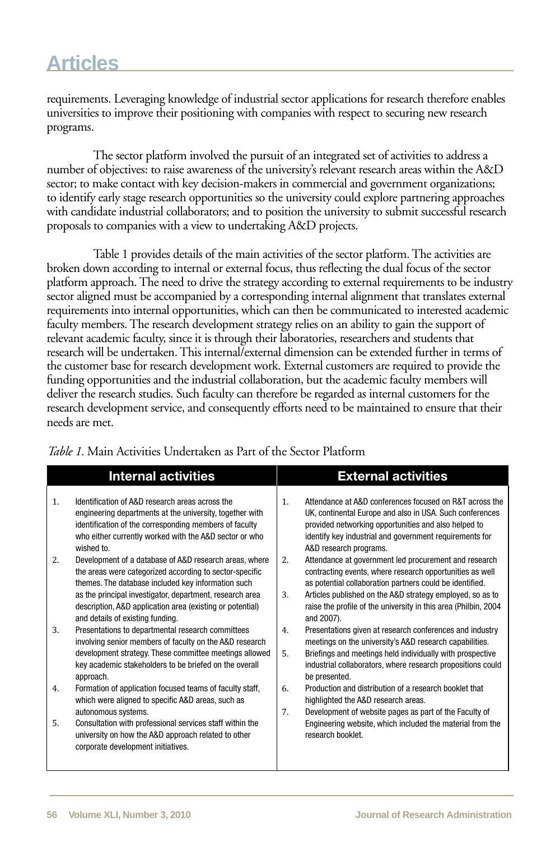requirements. Leveraging knowledge of industrial sector applications for research therefore enables universities to improve their positioning with companies with respect to securing new research programs.

The sector platform involved the pursuit of an integrated set of activities to address a number of objectives: to raise awareness of the university's relevant research areas within the A&D sector; to make contact with key decision-makers in commercial and government organizations; to identify early stage research opportunities so the university could explore partnering approaches with candidate industrial collaborators; and to position the university to submit successful research proposals to companies with a view to undertaking A&D projects.

Table 1 provides details of the main activities of the sector platform. The activities are broken down according to internal or external focus, thus reflecting the dual focus of the sector platform approach. The need to drive the strategy according to external requirements to be industry sector aligned must be accompanied by a corresponding internal alignment that translates external requirements into internal opportunities, which can then be communicated to interested academic faculty members. The research development strategy relies on an ability to gain the support of relevant academic faculty, since it is through their laboratories, researchers and students that research will be undertaken. This internal/external dimension can be extended further in terms of the customer base for research development work. External customers are required to provide the funding opportunities and the industrial collaboration, but the academic faculty members will deliver the research studies. Such faculty can therefore be regarded as internal customers for the research development service, and consequently efforts need to be maintained to ensure that their needs are met.

| <b>Internal activities</b> |                                                                                                                                                                                                                                               | <b>External activities</b> |                                                                                                                                                                                                                                                                  |  |
|----------------------------|-----------------------------------------------------------------------------------------------------------------------------------------------------------------------------------------------------------------------------------------------|----------------------------|------------------------------------------------------------------------------------------------------------------------------------------------------------------------------------------------------------------------------------------------------------------|--|
| 1.                         | Identification of A&D research areas across the<br>engineering departments at the university, together with<br>identification of the corresponding members of faculty<br>who either currently worked with the A&D sector or who<br>wished to. | $\mathbf{1}$ .             | Attendance at A&D conferences focused on R&T across the<br>UK, continental Europe and also in USA. Such conferences<br>provided networking opportunities and also helped to<br>identify key industrial and government requirements for<br>A&D research programs. |  |
| 2.                         | Development of a database of A&D research areas, where<br>the areas were categorized according to sector-specific<br>themes. The database included key information such                                                                       | 2.                         | Attendance at government led procurement and research<br>contracting events, where research opportunities as well<br>as potential collaboration partners could be identified.                                                                                    |  |
|                            | as the principal investigator, department, research area<br>description, A&D application area (existing or potential)<br>and details of existing funding.                                                                                     | 3.                         | Articles published on the A&D strategy employed, so as to<br>raise the profile of the university in this area (Philbin, 2004<br>and 2007).                                                                                                                       |  |
| 3.                         | Presentations to departmental research committees<br>involving senior members of faculty on the A&D research                                                                                                                                  | 4.                         | Presentations given at research conferences and industry<br>meetings on the university's A&D research capabilities.                                                                                                                                              |  |
|                            | development strategy. These committee meetings allowed<br>key academic stakeholders to be briefed on the overall<br>approach.                                                                                                                 | 5.                         | Briefings and meetings held individually with prospective<br>industrial collaborators, where research propositions could<br>be presented.                                                                                                                        |  |
| 4.                         | Formation of application focused teams of faculty staff,<br>which were aligned to specific A&D areas, such as                                                                                                                                 | 6.                         | Production and distribution of a research booklet that<br>highlighted the A&D research areas.                                                                                                                                                                    |  |
|                            | autonomous systems.                                                                                                                                                                                                                           | 7.                         | Development of website pages as part of the Faculty of                                                                                                                                                                                                           |  |
| 5.                         | Consultation with professional services staff within the<br>university on how the A&D approach related to other<br>corporate development initiatives.                                                                                         |                            | Engineering website, which included the material from the<br>research booklet.                                                                                                                                                                                   |  |

*Table 1.* Main Activities Undertaken as Part of the Sector Platform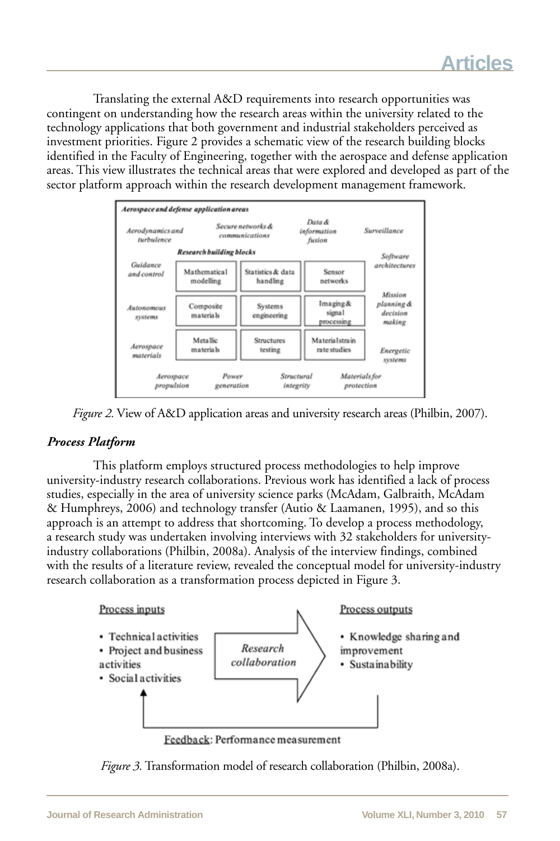Translating the external A&D requirements into research opportunities was contingent on understanding how the research areas within the university related to the technology applications that both government and industrial stakeholders perceived as investment priorities. Figure 2 provides a schematic view of the research building blocks identified in the Faculty of Engineering, together with the aerospace and defense application areas. This view illustrates the technical areas that were explored and developed as part of the sector platform approach within the research development management framework.



*Figure 2.* View of A&D application areas and university research areas (Philbin, 2007).

#### *Process Platform*

This platform employs structured process methodologies to help improve university-industry research collaborations. Previous work has identified a lack of process studies, especially in the area of university science parks (McAdam, Galbraith, McAdam & Humphreys, 2006) and technology transfer (Autio & Laamanen, 1995), and so this approach is an attempt to address that shortcoming. To develop a process methodology, a research study was undertaken involving interviews with 32 stakeholders for universityindustry collaborations (Philbin, 2008a). Analysis of the interview findings, combined with the results of a literature review, revealed the conceptual model for university-industry research collaboration as a transformation process depicted in Figure 3.



Feedback: Performance measurement

*Figure 3.* Transformation model of research collaboration (Philbin, 2008a).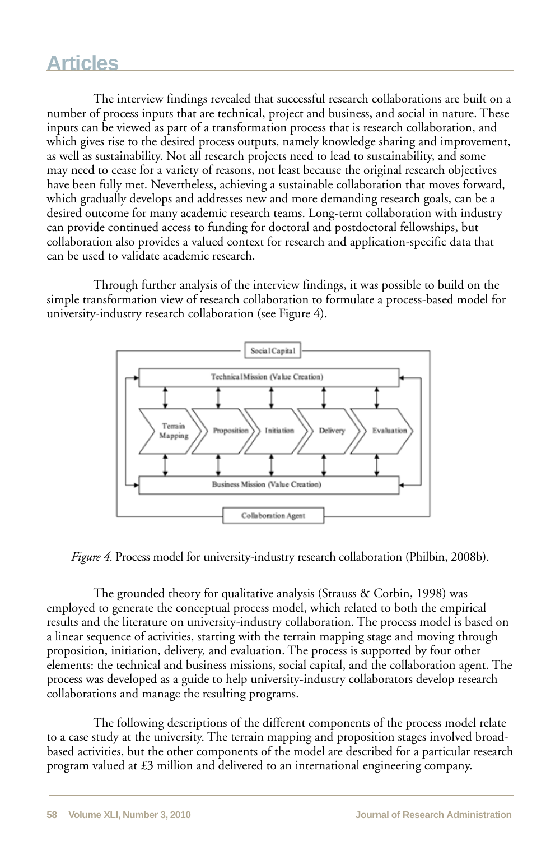The interview findings revealed that successful research collaborations are built on a number of process inputs that are technical, project and business, and social in nature. These inputs can be viewed as part of a transformation process that is research collaboration, and which gives rise to the desired process outputs, namely knowledge sharing and improvement, as well as sustainability. Not all research projects need to lead to sustainability, and some may need to cease for a variety of reasons, not least because the original research objectives have been fully met. Nevertheless, achieving a sustainable collaboration that moves forward, which gradually develops and addresses new and more demanding research goals, can be a desired outcome for many academic research teams. Long-term collaboration with industry can provide continued access to funding for doctoral and postdoctoral fellowships, but collaboration also provides a valued context for research and application-specific data that can be used to validate academic research.

Through further analysis of the interview findings, it was possible to build on the simple transformation view of research collaboration to formulate a process-based model for university-industry research collaboration (see Figure 4).



*Figure 4.* Process model for university-industry research collaboration (Philbin, 2008b).

The grounded theory for qualitative analysis (Strauss & Corbin, 1998) was employed to generate the conceptual process model, which related to both the empirical results and the literature on university-industry collaboration. The process model is based on a linear sequence of activities, starting with the terrain mapping stage and moving through proposition, initiation, delivery, and evaluation. The process is supported by four other elements: the technical and business missions, social capital, and the collaboration agent. The process was developed as a guide to help university-industry collaborators develop research collaborations and manage the resulting programs.

The following descriptions of the different components of the process model relate to a case study at the university. The terrain mapping and proposition stages involved broadbased activities, but the other components of the model are described for a particular research program valued at £3 million and delivered to an international engineering company.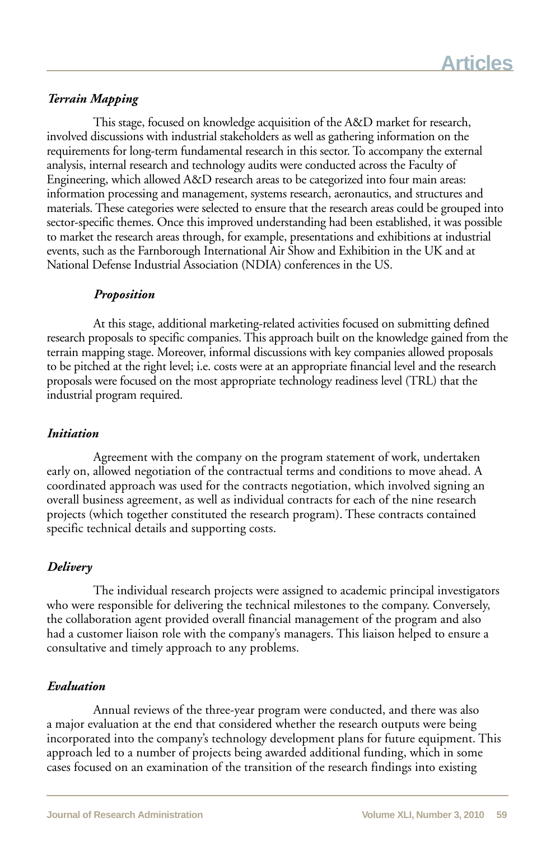#### *Terrain Mapping*

This stage, focused on knowledge acquisition of the A&D market for research, involved discussions with industrial stakeholders as well as gathering information on the requirements for long-term fundamental research in this sector. To accompany the external analysis, internal research and technology audits were conducted across the Faculty of Engineering, which allowed A&D research areas to be categorized into four main areas: information processing and management, systems research, aeronautics, and structures and materials. These categories were selected to ensure that the research areas could be grouped into sector-specific themes. Once this improved understanding had been established, it was possible to market the research areas through, for example, presentations and exhibitions at industrial events, such as the Farnborough International Air Show and Exhibition in the UK and at National Defense Industrial Association (NDIA) conferences in the US.

#### *Proposition*

At this stage, additional marketing-related activities focused on submitting defined research proposals to specific companies. This approach built on the knowledge gained from the terrain mapping stage. Moreover, informal discussions with key companies allowed proposals to be pitched at the right level; i.e. costs were at an appropriate financial level and the research proposals were focused on the most appropriate technology readiness level (TRL) that the industrial program required.

#### *Initiation*

Agreement with the company on the program statement of work, undertaken early on, allowed negotiation of the contractual terms and conditions to move ahead. A coordinated approach was used for the contracts negotiation, which involved signing an overall business agreement, as well as individual contracts for each of the nine research projects (which together constituted the research program). These contracts contained specific technical details and supporting costs.

#### *Delivery*

The individual research projects were assigned to academic principal investigators who were responsible for delivering the technical milestones to the company. Conversely, the collaboration agent provided overall financial management of the program and also had a customer liaison role with the company's managers. This liaison helped to ensure a consultative and timely approach to any problems.

#### *Evaluation*

Annual reviews of the three-year program were conducted, and there was also a major evaluation at the end that considered whether the research outputs were being incorporated into the company's technology development plans for future equipment. This approach led to a number of projects being awarded additional funding, which in some cases focused on an examination of the transition of the research findings into existing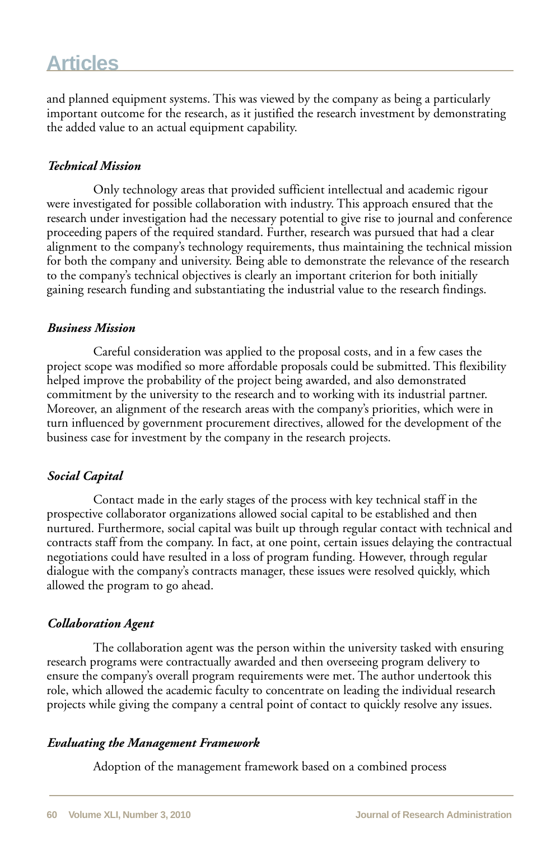and planned equipment systems. This was viewed by the company as being a particularly important outcome for the research, as it justified the research investment by demonstrating the added value to an actual equipment capability.

#### *Technical Mission*

Only technology areas that provided sufficient intellectual and academic rigour were investigated for possible collaboration with industry. This approach ensured that the research under investigation had the necessary potential to give rise to journal and conference proceeding papers of the required standard. Further, research was pursued that had a clear alignment to the company's technology requirements, thus maintaining the technical mission for both the company and university. Being able to demonstrate the relevance of the research to the company's technical objectives is clearly an important criterion for both initially gaining research funding and substantiating the industrial value to the research findings.

#### *Business Mission*

Careful consideration was applied to the proposal costs, and in a few cases the project scope was modified so more affordable proposals could be submitted. This flexibility helped improve the probability of the project being awarded, and also demonstrated commitment by the university to the research and to working with its industrial partner. Moreover, an alignment of the research areas with the company's priorities, which were in turn influenced by government procurement directives, allowed for the development of the business case for investment by the company in the research projects.

#### *Social Capital*

Contact made in the early stages of the process with key technical staff in the prospective collaborator organizations allowed social capital to be established and then nurtured. Furthermore, social capital was built up through regular contact with technical and contracts staff from the company. In fact, at one point, certain issues delaying the contractual negotiations could have resulted in a loss of program funding. However, through regular dialogue with the company's contracts manager, these issues were resolved quickly, which allowed the program to go ahead.

#### *Collaboration Agent*

The collaboration agent was the person within the university tasked with ensuring research programs were contractually awarded and then overseeing program delivery to ensure the company's overall program requirements were met. The author undertook this role, which allowed the academic faculty to concentrate on leading the individual research projects while giving the company a central point of contact to quickly resolve any issues.

#### *Evaluating the Management Framework*

Adoption of the management framework based on a combined process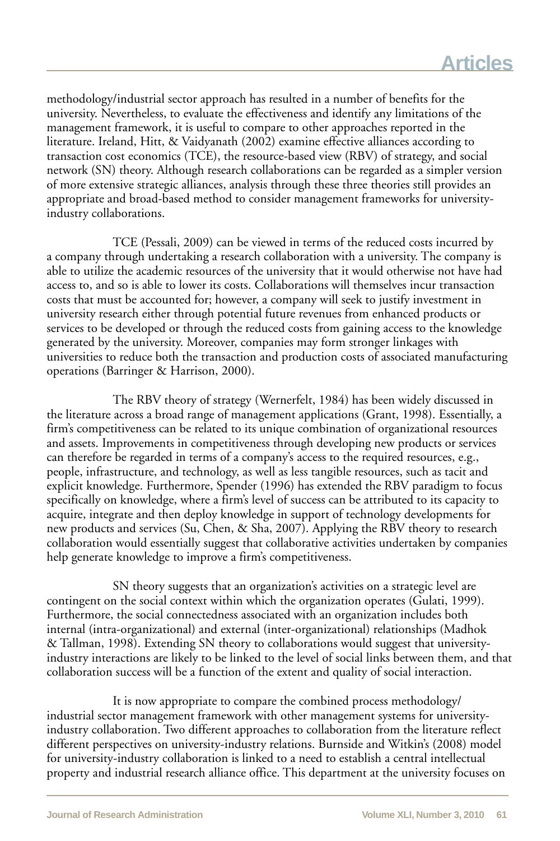methodology/industrial sector approach has resulted in a number of benefits for the university. Nevertheless, to evaluate the effectiveness and identify any limitations of the management framework, it is useful to compare to other approaches reported in the literature. Ireland, Hitt, & Vaidyanath (2002) examine effective alliances according to transaction cost economics (TCE), the resource-based view (RBV) of strategy, and social network (SN) theory. Although research collaborations can be regarded as a simpler version of more extensive strategic alliances, analysis through these three theories still provides an appropriate and broad-based method to consider management frameworks for universityindustry collaborations.

TCE (Pessali, 2009) can be viewed in terms of the reduced costs incurred by a company through undertaking a research collaboration with a university. The company is able to utilize the academic resources of the university that it would otherwise not have had access to, and so is able to lower its costs. Collaborations will themselves incur transaction costs that must be accounted for; however, a company will seek to justify investment in university research either through potential future revenues from enhanced products or services to be developed or through the reduced costs from gaining access to the knowledge generated by the university. Moreover, companies may form stronger linkages with universities to reduce both the transaction and production costs of associated manufacturing operations (Barringer & Harrison, 2000).

The RBV theory of strategy (Wernerfelt, 1984) has been widely discussed in the literature across a broad range of management applications (Grant, 1998). Essentially, a firm's competitiveness can be related to its unique combination of organizational resources and assets. Improvements in competitiveness through developing new products or services can therefore be regarded in terms of a company's access to the required resources, e.g., people, infrastructure, and technology, as well as less tangible resources, such as tacit and explicit knowledge. Furthermore, Spender (1996) has extended the RBV paradigm to focus specifically on knowledge, where a firm's level of success can be attributed to its capacity to acquire, integrate and then deploy knowledge in support of technology developments for new products and services (Su, Chen, & Sha, 2007). Applying the RBV theory to research collaboration would essentially suggest that collaborative activities undertaken by companies help generate knowledge to improve a firm's competitiveness.

SN theory suggests that an organization's activities on a strategic level are contingent on the social context within which the organization operates (Gulati, 1999). Furthermore, the social connectedness associated with an organization includes both internal (intra-organizational) and external (inter-organizational) relationships (Madhok & Tallman, 1998). Extending SN theory to collaborations would suggest that universityindustry interactions are likely to be linked to the level of social links between them, and that collaboration success will be a function of the extent and quality of social interaction.

It is now appropriate to compare the combined process methodology/ industrial sector management framework with other management systems for universityindustry collaboration. Two different approaches to collaboration from the literature reflect different perspectives on university-industry relations. Burnside and Witkin's (2008) model for university-industry collaboration is linked to a need to establish a central intellectual property and industrial research alliance office. This department at the university focuses on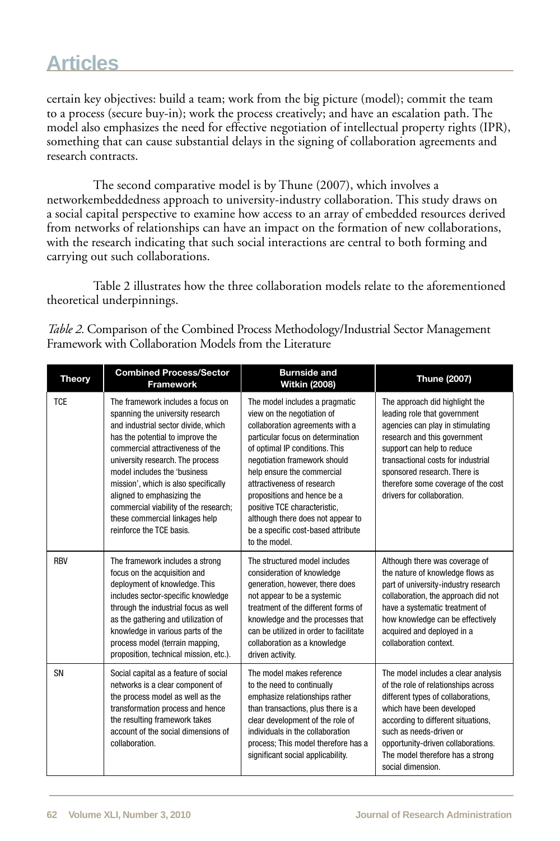certain key objectives: build a team; work from the big picture (model); commit the team to a process (secure buy-in); work the process creatively; and have an escalation path. The model also emphasizes the need for effective negotiation of intellectual property rights (IPR), something that can cause substantial delays in the signing of collaboration agreements and research contracts.

The second comparative model is by Thune (2007), which involves a networkembeddedness approach to university-industry collaboration. This study draws on a social capital perspective to examine how access to an array of embedded resources derived from networks of relationships can have an impact on the formation of new collaborations, with the research indicating that such social interactions are central to both forming and carrying out such collaborations.

Table 2 illustrates how the three collaboration models relate to the aforementioned theoretical underpinnings.

| Table 2. Comparison of the Combined Process Methodology/Industrial Sector Management |
|--------------------------------------------------------------------------------------|
| Framework with Collaboration Models from the Literature                              |

| <b>Theory</b> | <b>Combined Process/Sector</b><br><b>Framework</b>                                                                                                                                                                                                                                                                                                                                                                                    | <b>Burnside and</b><br><b>Witkin (2008)</b>                                                                                                                                                                                                                                                                                                                                                                                   | <b>Thune (2007)</b>                                                                                                                                                                                                                                                                                           |
|---------------|---------------------------------------------------------------------------------------------------------------------------------------------------------------------------------------------------------------------------------------------------------------------------------------------------------------------------------------------------------------------------------------------------------------------------------------|-------------------------------------------------------------------------------------------------------------------------------------------------------------------------------------------------------------------------------------------------------------------------------------------------------------------------------------------------------------------------------------------------------------------------------|---------------------------------------------------------------------------------------------------------------------------------------------------------------------------------------------------------------------------------------------------------------------------------------------------------------|
| <b>TCE</b>    | The framework includes a focus on<br>spanning the university research<br>and industrial sector divide, which<br>has the potential to improve the<br>commercial attractiveness of the<br>university research. The process<br>model includes the 'business<br>mission', which is also specifically<br>aligned to emphasizing the<br>commercial viability of the research;<br>these commercial linkages help<br>reinforce the TCE basis. | The model includes a pragmatic<br>view on the negotiation of<br>collaboration agreements with a<br>particular focus on determination<br>of optimal IP conditions. This<br>negotiation framework should<br>help ensure the commercial<br>attractiveness of research<br>propositions and hence be a<br>positive TCE characteristic,<br>although there does not appear to<br>be a specific cost-based attribute<br>to the model. | The approach did highlight the<br>leading role that government<br>agencies can play in stimulating<br>research and this government<br>support can help to reduce<br>transactional costs for industrial<br>sponsored research. There is<br>therefore some coverage of the cost<br>drivers for collaboration.   |
| <b>RBV</b>    | The framework includes a strong<br>focus on the acquisition and<br>deployment of knowledge. This<br>includes sector-specific knowledge<br>through the industrial focus as well<br>as the gathering and utilization of<br>knowledge in various parts of the<br>process model (terrain mapping,<br>proposition, technical mission, etc.).                                                                                               | The structured model includes<br>consideration of knowledge<br>generation, however, there does<br>not appear to be a systemic<br>treatment of the different forms of<br>knowledge and the processes that<br>can be utilized in order to facilitate<br>collaboration as a knowledge<br>driven activity.                                                                                                                        | Although there was coverage of<br>the nature of knowledge flows as<br>part of university-industry research<br>collaboration, the approach did not<br>have a systematic treatment of<br>how knowledge can be effectively<br>acquired and deployed in a<br>collaboration context.                               |
| SN            | Social capital as a feature of social<br>networks is a clear component of<br>the process model as well as the<br>transformation process and hence<br>the resulting framework takes<br>account of the social dimensions of<br>collaboration.                                                                                                                                                                                           | The model makes reference<br>to the need to continually<br>emphasize relationships rather<br>than transactions, plus there is a<br>clear development of the role of<br>individuals in the collaboration<br>process; This model therefore has a<br>significant social applicability.                                                                                                                                           | The model includes a clear analysis<br>of the role of relationships across<br>different types of collaborations,<br>which have been developed<br>according to different situations,<br>such as needs-driven or<br>opportunity-driven collaborations.<br>The model therefore has a strong<br>social dimension. |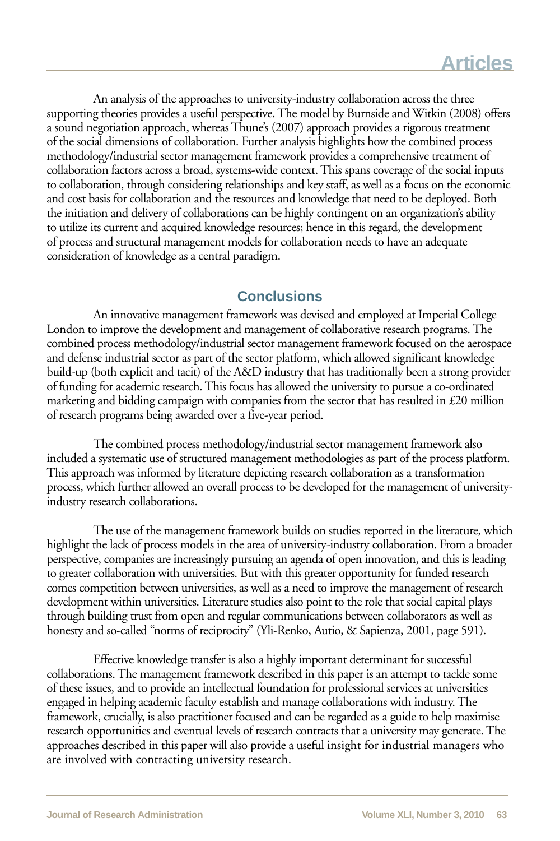An analysis of the approaches to university-industry collaboration across the three supporting theories provides a useful perspective. The model by Burnside and Witkin (2008) offers a sound negotiation approach, whereas Thune's (2007) approach provides a rigorous treatment of the social dimensions of collaboration. Further analysis highlights how the combined process methodology/industrial sector management framework provides a comprehensive treatment of collaboration factors across a broad, systems-wide context. This spans coverage of the social inputs to collaboration, through considering relationships and key staff, as well as a focus on the economic and cost basis for collaboration and the resources and knowledge that need to be deployed. Both the initiation and delivery of collaborations can be highly contingent on an organization's ability to utilize its current and acquired knowledge resources; hence in this regard, the development of process and structural management models for collaboration needs to have an adequate consideration of knowledge as a central paradigm.

### **Conclusions**

An innovative management framework was devised and employed at Imperial College London to improve the development and management of collaborative research programs. The combined process methodology/industrial sector management framework focused on the aerospace and defense industrial sector as part of the sector platform, which allowed significant knowledge build-up (both explicit and tacit) of the A&D industry that has traditionally been a strong provider of funding for academic research. This focus has allowed the university to pursue a co-ordinated marketing and bidding campaign with companies from the sector that has resulted in  $£20$  million of research programs being awarded over a five-year period.

The combined process methodology/industrial sector management framework also included a systematic use of structured management methodologies as part of the process platform. This approach was informed by literature depicting research collaboration as a transformation process, which further allowed an overall process to be developed for the management of universityindustry research collaborations.

The use of the management framework builds on studies reported in the literature, which highlight the lack of process models in the area of university-industry collaboration. From a broader perspective, companies are increasingly pursuing an agenda of open innovation, and this is leading to greater collaboration with universities. But with this greater opportunity for funded research comes competition between universities, as well as a need to improve the management of research development within universities. Literature studies also point to the role that social capital plays through building trust from open and regular communications between collaborators as well as honesty and so-called "norms of reciprocity" (Yli-Renko, Autio, & Sapienza, 2001, page 591).

Effective knowledge transfer is also a highly important determinant for successful collaborations. The management framework described in this paper is an attempt to tackle some of these issues, and to provide an intellectual foundation for professional services at universities engaged in helping academic faculty establish and manage collaborations with industry. The framework, crucially, is also practitioner focused and can be regarded as a guide to help maximise research opportunities and eventual levels of research contracts that a university may generate. The approaches described in this paper will also provide a useful insight for industrial managers who are involved with contracting university research.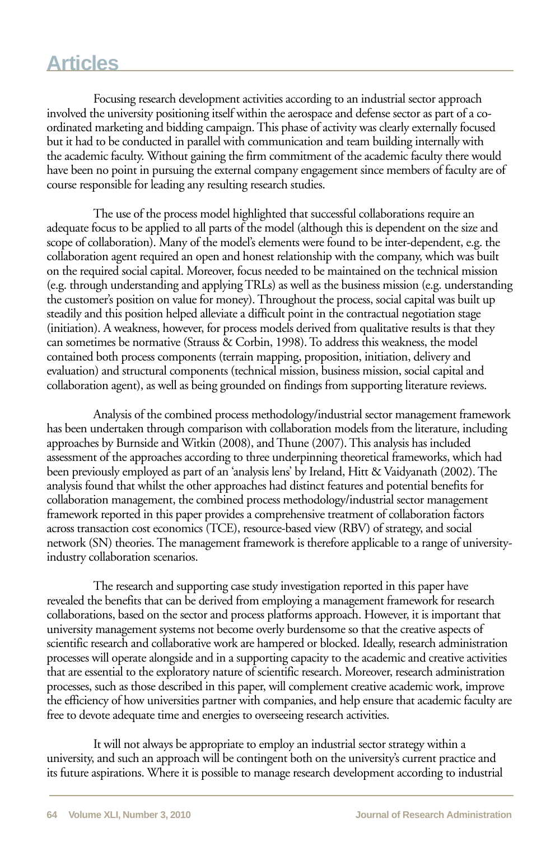Focusing research development activities according to an industrial sector approach involved the university positioning itself within the aerospace and defense sector as part of a coordinated marketing and bidding campaign. This phase of activity was clearly externally focused but it had to be conducted in parallel with communication and team building internally with the academic faculty. Without gaining the firm commitment of the academic faculty there would have been no point in pursuing the external company engagement since members of faculty are of course responsible for leading any resulting research studies.

The use of the process model highlighted that successful collaborations require an adequate focus to be applied to all parts of the model (although this is dependent on the size and scope of collaboration). Many of the model's elements were found to be inter-dependent, e.g. the collaboration agent required an open and honest relationship with the company, which was built on the required social capital. Moreover, focus needed to be maintained on the technical mission (e.g. through understanding and applying TRLs) as well as the business mission (e.g. understanding the customer's position on value for money). Throughout the process, social capital was built up steadily and this position helped alleviate a difficult point in the contractual negotiation stage (initiation). A weakness, however, for process models derived from qualitative results is that they can sometimes be normative (Strauss & Corbin, 1998). To address this weakness, the model contained both process components (terrain mapping, proposition, initiation, delivery and evaluation) and structural components (technical mission, business mission, social capital and collaboration agent), as well as being grounded on findings from supporting literature reviews.

Analysis of the combined process methodology/industrial sector management framework has been undertaken through comparison with collaboration models from the literature, including approaches by Burnside and Witkin (2008), and Thune (2007). This analysis has included assessment of the approaches according to three underpinning theoretical frameworks, which had been previously employed as part of an 'analysis lens' by Ireland, Hitt & Vaidyanath (2002). The analysis found that whilst the other approaches had distinct features and potential benefits for collaboration management, the combined process methodology/industrial sector management framework reported in this paper provides a comprehensive treatment of collaboration factors across transaction cost economics (TCE), resource-based view (RBV) of strategy, and social network (SN) theories. The management framework is therefore applicable to a range of universityindustry collaboration scenarios.

The research and supporting case study investigation reported in this paper have revealed the benefits that can be derived from employing a management framework for research collaborations, based on the sector and process platforms approach. However, it is important that university management systems not become overly burdensome so that the creative aspects of scientific research and collaborative work are hampered or blocked. Ideally, research administration processes will operate alongside and in a supporting capacity to the academic and creative activities that are essential to the exploratory nature of scientific research. Moreover, research administration processes, such as those described in this paper, will complement creative academic work, improve the efficiency of how universities partner with companies, and help ensure that academic faculty are free to devote adequate time and energies to overseeing research activities.

It will not always be appropriate to employ an industrial sector strategy within a university, and such an approach will be contingent both on the university's current practice and its future aspirations. Where it is possible to manage research development according to industrial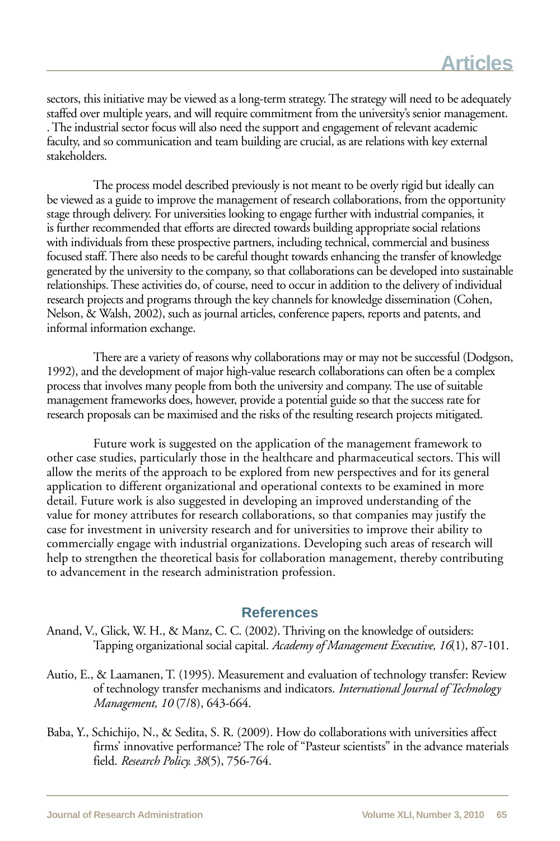sectors, this initiative may be viewed as a long-term strategy. The strategy will need to be adequately staffed over multiple years, and will require commitment from the university's senior management. . The industrial sector focus will also need the support and engagement of relevant academic faculty, and so communication and team building are crucial, as are relations with key external stakeholders.

The process model described previously is not meant to be overly rigid but ideally can be viewed as a guide to improve the management of research collaborations, from the opportunity stage through delivery. For universities looking to engage further with industrial companies, it is further recommended that efforts are directed towards building appropriate social relations with individuals from these prospective partners, including technical, commercial and business focused staff. There also needs to be careful thought towards enhancing the transfer of knowledge generated by the university to the company, so that collaborations can be developed into sustainable relationships. These activities do, of course, need to occur in addition to the delivery of individual research projects and programs through the key channels for knowledge dissemination (Cohen, Nelson, & Walsh, 2002), such as journal articles, conference papers, reports and patents, and informal information exchange.

There are a variety of reasons why collaborations may or may not be successful (Dodgson, 1992), and the development of major high-value research collaborations can often be a complex process that involves many people from both the university and company. The use of suitable management frameworks does, however, provide a potential guide so that the success rate for research proposals can be maximised and the risks of the resulting research projects mitigated.

Future work is suggested on the application of the management framework to other case studies, particularly those in the healthcare and pharmaceutical sectors. This will allow the merits of the approach to be explored from new perspectives and for its general application to different organizational and operational contexts to be examined in more detail. Future work is also suggested in developing an improved understanding of the value for money attributes for research collaborations, so that companies may justify the case for investment in university research and for universities to improve their ability to commercially engage with industrial organizations. Developing such areas of research will help to strengthen the theoretical basis for collaboration management, thereby contributing to advancement in the research administration profession.

#### **References**

- Anand, V., Glick, W. H., & Manz, C. C. (2002). Thriving on the knowledge of outsiders: Tapping organizational social capital. *Academy of Management Executive, 16*(1), 87-101.
- Autio, E., & Laamanen, T. (1995). Measurement and evaluation of technology transfer: Review of technology transfer mechanisms and indicators. *International Journal of Technology Management, 10* (7/8), 643-664.
- Baba, Y., Schichijo, N., & Sedita, S. R. (2009). How do collaborations with universities affect firms' innovative performance? The role of "Pasteur scientists" in the advance materials field. *Research Policy. 38*(5), 756-764.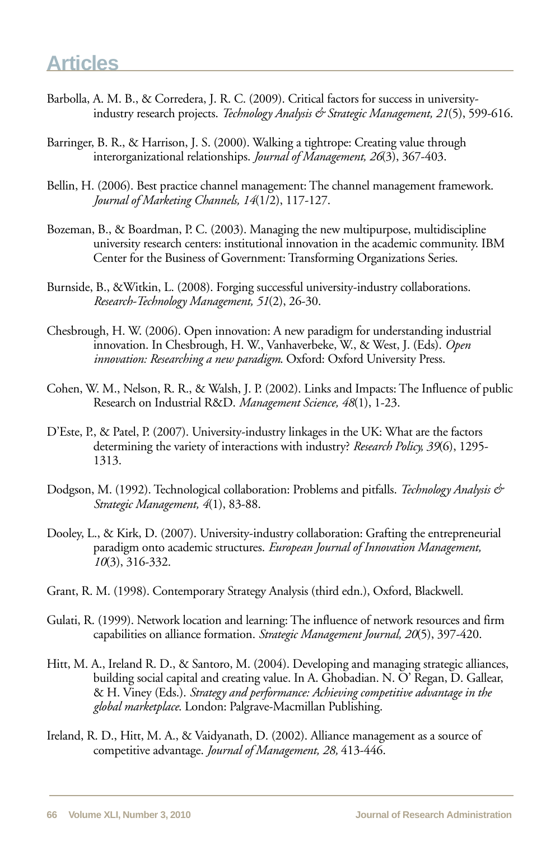- Barbolla, A. M. B., & Corredera, J. R. C. (2009). Critical factors for success in universityindustry research projects. *Technology Analysis & Strategic Management, 21*(5), 599-616.
- Barringer, B. R., & Harrison, J. S. (2000). Walking a tightrope: Creating value through interorganizational relationships. *Journal of Management, 26*(3), 367-403.
- Bellin, H. (2006). Best practice channel management: The channel management framework. *Journal of Marketing Channels, 14*(1/2), 117-127.
- Bozeman, B., & Boardman, P. C. (2003). Managing the new multipurpose, multidiscipline university research centers: institutional innovation in the academic community. IBM Center for the Business of Government: Transforming Organizations Series.
- Burnside, B., &Witkin, L. (2008). Forging successful university-industry collaborations. *Research-Technology Management, 51*(2), 26-30.
- Chesbrough, H. W. (2006). Open innovation: A new paradigm for understanding industrial innovation. In Chesbrough, H. W., Vanhaverbeke, W., & West, J. (Eds). *Open innovation: Researching a new paradigm*. Oxford: Oxford University Press.
- Cohen, W. M., Nelson, R. R., & Walsh, J. P. (2002). Links and Impacts: The Influence of public Research on Industrial R&D. *Management Science, 48*(1), 1-23.
- D'Este, P., & Patel, P. (2007). University-industry linkages in the UK: What are the factors determining the variety of interactions with industry? *Research Policy, 39*(6), 1295- 1313.
- Dodgson, M. (1992). Technological collaboration: Problems and pitfalls. *Technology Analysis & Strategic Management, 4*(1), 83-88.
- Dooley, L., & Kirk, D. (2007). University-industry collaboration: Grafting the entrepreneurial paradigm onto academic structures. *European Journal of Innovation Management, 10*(3), 316-332.
- Grant, R. M. (1998). Contemporary Strategy Analysis (third edn.), Oxford, Blackwell.
- Gulati, R. (1999). Network location and learning: The influence of network resources and firm capabilities on alliance formation. *Strategic Management Journal, 20*(5), 397-420.
- Hitt, M. A., Ireland R. D., & Santoro, M. (2004). Developing and managing strategic alliances, building social capital and creating value. In A. Ghobadian. N. O' Regan, D. Gallear, & H. Viney (Eds.). *Strategy and performance: Achieving competitive advantage in the global marketplace*. London: Palgrave-Macmillan Publishing.
- Ireland, R. D., Hitt, M. A., & Vaidyanath, D. (2002). Alliance management as a source of competitive advantage. *Journal of Management, 28,* 413-446.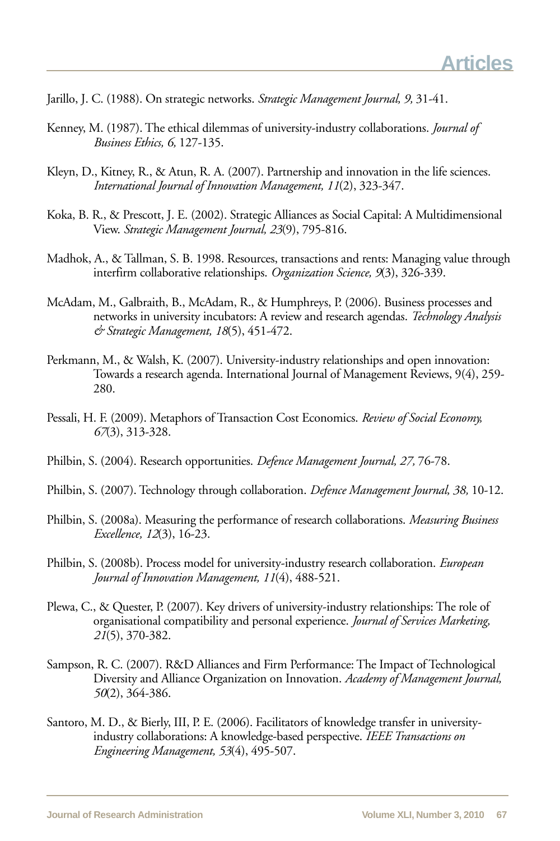Jarillo, J. C. (1988). On strategic networks. *Strategic Management Journal, 9,* 31-41.

- Kenney, M. (1987). The ethical dilemmas of university-industry collaborations. *Journal of Business Ethics, 6,* 127-135.
- Kleyn, D., Kitney, R., & Atun, R. A. (2007). Partnership and innovation in the life sciences. *International Journal of Innovation Management, 11*(2), 323-347.
- Koka, B. R., & Prescott, J. E. (2002). Strategic Alliances as Social Capital: A Multidimensional View. *Strategic Management Journal, 23*(9), 795-816.
- Madhok, A., & Tallman, S. B. 1998. Resources, transactions and rents: Managing value through interfirm collaborative relationships. *Organization Science, 9*(3), 326-339.
- McAdam, M., Galbraith, B., McAdam, R., & Humphreys, P. (2006). Business processes and networks in university incubators: A review and research agendas. *Technology Analysis & Strategic Management, 18*(5), 451-472.
- Perkmann, M., & Walsh, K. (2007). University-industry relationships and open innovation: Towards a research agenda. International Journal of Management Reviews, 9(4), 259- 280.
- Pessali, H. F. (2009). Metaphors of Transaction Cost Economics. *Review of Social Economy, 67*(3), 313-328.
- Philbin, S. (2004). Research opportunities. *Defence Management Journal, 27,* 76-78.
- Philbin, S. (2007). Technology through collaboration. *Defence Management Journal, 38,* 10-12.
- Philbin, S. (2008a). Measuring the performance of research collaborations. *Measuring Business Excellence, 12*(3), 16-23.
- Philbin, S. (2008b). Process model for university-industry research collaboration. *European Journal of Innovation Management, 11*(4), 488-521.
- Plewa, C., & Quester, P. (2007). Key drivers of university-industry relationships: The role of organisational compatibility and personal experience. *Journal of Services Marketing, 21*(5), 370-382.
- Sampson, R. C. (2007). R&D Alliances and Firm Performance: The Impact of Technological Diversity and Alliance Organization on Innovation. *Academy of Management Journal, 50*(2), 364-386.
- Santoro, M. D., & Bierly, III, P. E. (2006). Facilitators of knowledge transfer in universityindustry collaborations: A knowledge-based perspective. *IEEE Transactions on Engineering Management, 53*(4), 495-507.